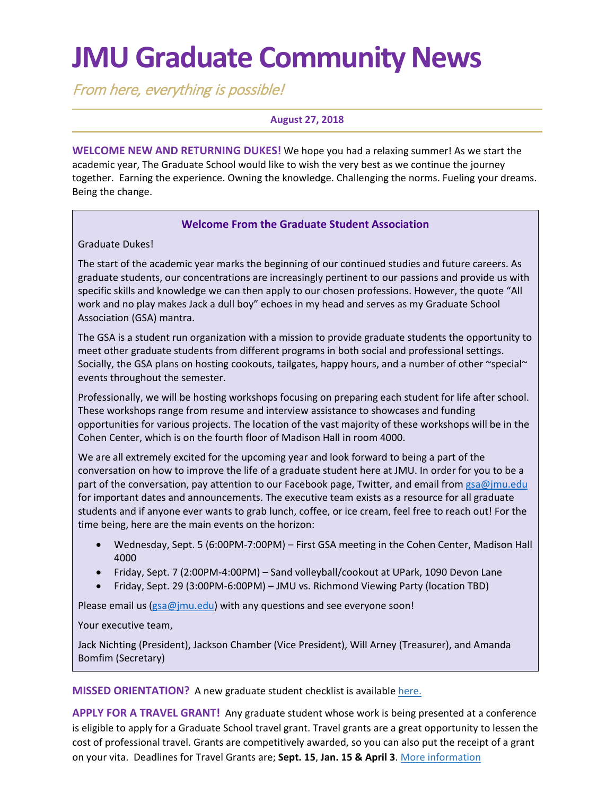# **JMU Graduate Community News**

From here, everything is possible!

### **August 27, 2018**

**WELCOME NEW AND RETURNING DUKES!** We hope you had a relaxing summer! As we start the academic year, The Graduate School would like to wish the very best as we continue the journey together. Earning the experience. Owning the knowledge. Challenging the norms. Fueling your dreams. Being the change.

### **Welcome From the Graduate Student Association**

Graduate Dukes!

The start of the academic year marks the beginning of our continued studies and future careers. As graduate students, our concentrations are increasingly pertinent to our passions and provide us with specific skills and knowledge we can then apply to our chosen professions. However, the quote "All work and no play makes Jack a dull boy" echoes in my head and serves as my Graduate School Association (GSA) mantra.

The GSA is a student run organization with a mission to provide graduate students the opportunity to meet other graduate students from different programs in both social and professional settings. Socially, the GSA plans on hosting cookouts, tailgates, happy hours, and a number of other ~special~ events throughout the semester.

Professionally, we will be hosting workshops focusing on preparing each student for life after school. These workshops range from resume and interview assistance to showcases and funding opportunities for various projects. The location of the vast majority of these workshops will be in the Cohen Center, which is on the fourth floor of Madison Hall in room 4000.

We are all extremely excited for the upcoming year and look forward to being a part of the conversation on how to improve the life of a graduate student here at JMU. In order for you to be a part of the conversation, pay attention to our Facebook page, Twitter, and email from [gsa@jmu.edu](mailto:gsa@jmu.edu) for important dates and announcements. The executive team exists as a resource for all graduate students and if anyone ever wants to grab lunch, coffee, or ice cream, feel free to reach out! For the time being, here are the main events on the horizon:

- Wednesday, Sept. 5 (6:00PM-7:00PM) First GSA meeting in the Cohen Center, Madison Hall 4000
- Friday, Sept. 7 (2:00PM-4:00PM) Sand volleyball/cookout at UPark, 1090 Devon Lane
- Friday, Sept. 29 (3:00PM-6:00PM) JMU vs. Richmond Viewing Party (location TBD)

Please email us ( $gsa@jmu.edu$ ) with any questions and see everyone soon!

Your executive team,

Jack Nichting (President), Jackson Chamber (Vice President), Will Arney (Treasurer), and Amanda Bomfim (Secretary)

**MISSED ORIENTATION?** A new graduate student checklist is available [here.](http://www.jmu.edu/grad/current-students/orientation/getting%20started.shtml)

**APPLY FOR A TRAVEL GRANT!** Any graduate student whose work is being presented at a conference is eligible to apply for a Graduate School travel grant. Travel grants are a great opportunity to lessen the cost of professional travel. Grants are competitively awarded, so you can also put the receipt of a grant on your vita. Deadlines for Travel Grants are; **Sept. 15**, **Jan. 15 & April 3**. [More information](https://www.jmu.edu/grad/current-students/awards-grants/travel-grants.shtml)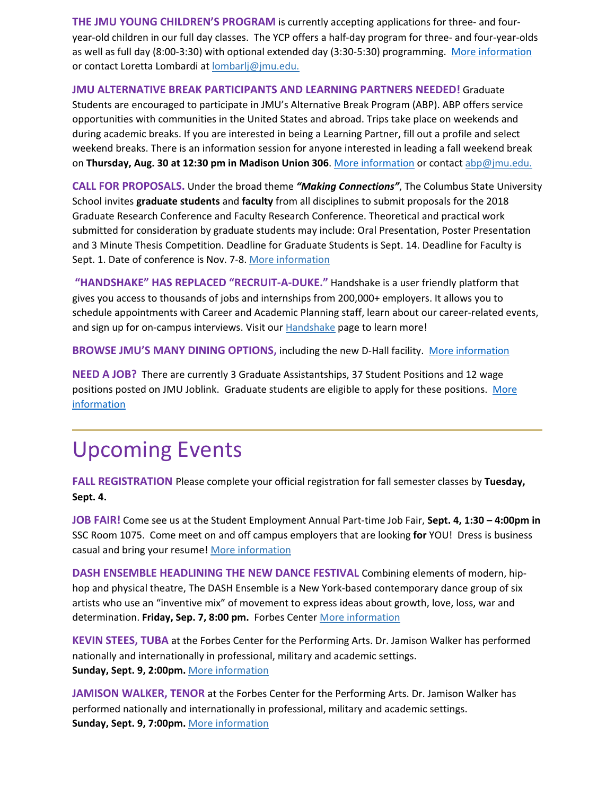**THE JMU YOUNG CHILDREN'S PROGRAM** is currently accepting applications for three- and fouryear-old children in our full day classes. The YCP offers a half-day program for three- and four-year-olds as well as full day (8:00-3:30) with optional extended day (3:30-5:30) programming. [More information](http://www.jmu.edu/coe/ycp/index.shtml) or contact Loretta Lombardi at **[lombarlj@jmu.edu.](mailto:lombarlj@jmu.edu)** 

#### **JMU ALTERNATIVE BREAK PARTICIPANTS AND LEARNING PARTNERS NEEDED!** Graduate

Students are encouraged to participate in JMU's Alternative Break Program (ABP). ABP offers service opportunities with communities in the United States and abroad. Trips take place on weekends and during academic breaks. If you are interested in being a Learning Partner, fill out a profile and select weekend breaks. There is an information session for anyone interested in leading a fall weekend break on **Thursday, Aug. 30 at 12:30 pm in Madison Union 306**. More [information](http://www.jmu.edu/abp/) or contact [abp@jmu.edu.](mailto:abp@jmu.edu)

**CALL FOR PROPOSALS.** Under the broad theme *"Making Connections"*, The Columbus State University School invites **graduate students** and **faculty** from all disciplines to submit proposals for the 2018 Graduate Research Conference and Faculty Research Conference. Theoretical and practical work submitted for consideration by graduate students may include: Oral Presentation, Poster Presentation and 3 Minute Thesis Competition. Deadline for Graduate Students is Sept. 14. Deadline for Faculty is Sept. 1. Date of conference is Nov. 7-8. [More information](https://gradschool.columbusstate.edu/gradconference/)

**"HANDSHAKE" HAS REPLACED "RECRUIT-A-DUKE."** Handshake is a user friendly platform that gives you access to thousands of jobs and internships from 200,000+ employers. It allows you to schedule appointments with Career and Academic Planning staff, learn about our career-related events, and sign up for on-campus interviews. Visit our [Handshake](http://www.jmu.edu/cap/handshake/) page to learn more!

**BROWSE JMU'S MANY DINING OPTIONS,** including the new D-Hall facility. [More information](https://jmu.campusdish.com/)

**NEED A JOB?** There are currently 3 Graduate Assistantships, 37 Student Positions and 12 wage positions posted on JMU Joblink. Graduate students are eligible to apply for these positions. [More](https://joblink.jmu.edu/)  [information](https://joblink.jmu.edu/)

### Upcoming Events

**FALL REGISTRATION** Please complete your official registration for fall semester classes by **Tuesday, Sept. 4.**

**JOB FAIR!** Come see us at the Student Employment Annual Part-time Job Fair, **Sept. 4, 1:30 – 4:00pm in**  SSC Room 1075. Come meet on and off campus employers that are looking **for** YOU! Dress is business casual and bring your resume! [More information](http://www.jmu.edu/student-employment/students/index.shtml)

**DASH ENSEMBLE HEADLINING THE NEW DANCE FESTIVAL** Combining elements of modern, hiphop and physical theatre, The DASH Ensemble is a New York-based contemporary dance group of six artists who use an "inventive mix" of movement to express ideas about growth, love, loss, war and determination. **Friday, Sep. 7, 8:00 pm.** Forbes Center [More information](https://www.visitharrisonburgva.com/calendar-of-events/)

**KEVIN STEES, TUBA** at the Forbes Center for the Performing Arts. Dr. Jamison Walker has performed nationally and internationally in professional, military and academic settings. **Sunday, Sept. 9, 2:00pm.** [More information](http://www.jmuforbescenter.com/forbescenter/events/2018/09/09-kevin-stees.shtml)

**JAMISON WALKER, TENOR** at the Forbes Center for the Performing Arts. Dr. Jamison Walker has performed nationally and internationally in professional, military and academic settings. **Sunday, Sept. 9, 7:00pm.** [More information](http://www.jmuforbescenter.com/forbescenter/events/2018/09/09-jamison-walker.shtml)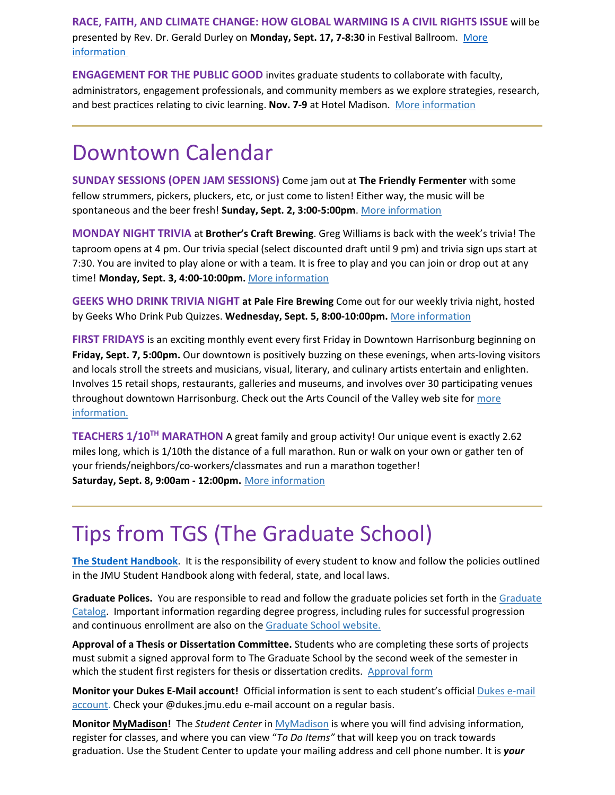**RACE, FAITH, AND CLIMATE CHANGE: HOW GLOBAL WARMING IS A CIVIL RIGHTS ISSUE** will be presented by Rev. Dr. Gerald Durley on **Monday, Sept. 17, 7-8:30** in Festival Ballroom. [More](https://climateone.org/people/rev-dr-gerald-durley)  [information](https://climateone.org/people/rev-dr-gerald-durley)

**ENGAGEMENT FOR THE PUBLIC GOOD** invites graduate students to collaborate with faculty, administrators, engagement professionals, and community members as we explore strategies, research, and best practices relating to civic learning. **Nov. 7-9** at Hotel Madison. [More information](https://www.jmu.edu/engagement/epg18.shtml)

### Downtown Calendar

**SUNDAY SESSIONS (OPEN JAM SESSIONS)** Come jam out at **The Friendly Fermenter** with some fellow strummers, pickers, pluckers, etc, or just come to listen! Either way, the music will be spontaneous and the beer fresh! **Sunday, Sept. 2, 3:00-5:00pm**. [More information](https://www.visitharrisonburgva.com/calendar-of-events/)

**MONDAY NIGHT TRIVIA** at **Brother's Craft Brewing**. Greg Williams is back with the week's trivia! The taproom opens at 4 pm. Our trivia special (select discounted draft until 9 pm) and trivia sign ups start at 7:30. You are invited to play alone or with a team. It is free to play and you can join or drop out at any time! **Monday, Sept. 3, 4:00-10:00pm.** [More information](https://www.visitharrisonburgva.com/calendar-of-events/)

**GEEKS WHO DRINK TRIVIA NIGHT at Pale Fire Brewing** Come out for our weekly trivia night, hosted by Geeks Who Drink Pub Quizzes. **Wednesday, Sept. 5, 8:00-10:00pm.** [More information](https://www.visitharrisonburgva.com/calendar-of-events/)

**FIRST FRIDAYS** is an exciting monthly event every first Friday in Downtown Harrisonburg beginning on **Friday, Sept. 7, 5:00pm.** Our downtown is positively buzzing on these evenings, when arts-loving visitors and locals stroll the streets and musicians, visual, literary, and culinary artists entertain and enlighten. Involves 15 retail shops, restaurants, galleries and museums, and involves over 30 participating venues throughout downtown Harrisonburg. Check out the Arts Council of the Valley web site for [more](http://www.valleyarts.org/first-fridays-downtown/)  [information.](http://www.valleyarts.org/first-fridays-downtown/)

**TEACHERS 1/10TH MARATHON** A great family and group activity! Our unique event is exactly 2.62 miles long, which is 1/10th the distance of a full marathon. Run or walk on your own or gather ten of your friends/neighbors/co-workers/classmates and run a marathon together! **Saturday, Sept. 8, 9:00am - 12:00pm.** [More information](http://www.bluestonebikerun.com/teachers-110th-marathon-1)

## Tips from TGS (The Graduate School)

**The Student Handbook**. It is the responsibility of every student to know and follow the policies outlined in the JMU Student Handbook along with federal, state, and local laws.

**Graduate Polices.** You are responsible to read and follow the graduate policies set forth in the [Graduate](http://jmu.edu/catalog)  [Catalog.](http://jmu.edu/catalog) Important information regarding degree progress, including rules for successful progression and continuous enrollment are also on the [Graduate School website.](http://www.jmu.edu/grad/current-students/degree-progress/beginning.shtml)

**Approval of a Thesis or Dissertation Committee.** Students who are completing these sorts of projects must submit a signed approval form to The Graduate School by the second week of the semester in which the student first registers for thesis or dissertation credits. [Approval form](https://www.jmu.edu/grad/_files/CommitteeApprovalForm2017-18.pdf)

**Monitor your Dukes E-Mail account!** Official information is sent to each student's official [Dukes e-mail](http://www.jmu.edu/computing/helpdesk/selfhelp/DukesEmail.shtml)  [account.](http://www.jmu.edu/computing/helpdesk/selfhelp/DukesEmail.shtml) Check your @dukes.jmu.edu e-mail account on a regular basis.

**Monitor [MyMadison!](http://mymadison.jmu.edu/)** The *Student Center* in [MyMadison](http://mymadison.jmu.edu/) is where you will find advising information, register for classes, and where you can view "*To Do Items"* that will keep you on track towards graduation. Use the Student Center to update your mailing address and cell phone number. It is *your*